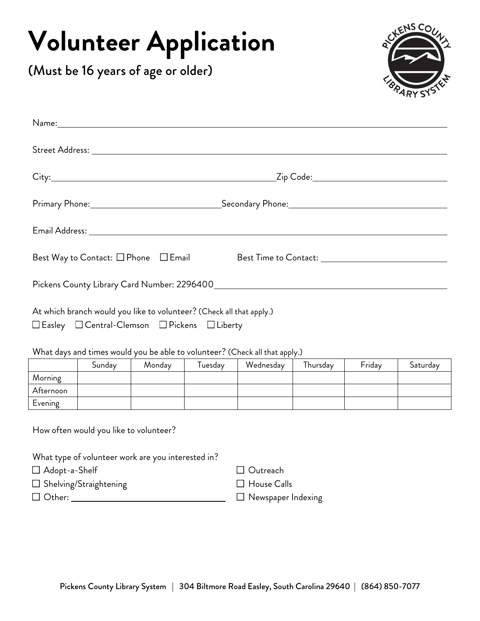## **Volunteer Application**

(Must be 16 years of age or older)



|                                                                                                                        | Best Way to Contact: $\square$ Phone $\square$ Email Best Time to Contact: ___________________________________ |  |  |  |  |
|------------------------------------------------------------------------------------------------------------------------|----------------------------------------------------------------------------------------------------------------|--|--|--|--|
|                                                                                                                        |                                                                                                                |  |  |  |  |
| At which branch would you like to volunteer? (Check all that apply.)<br>□ Easley □ Central-Clemson □ Pickens □ Liberty |                                                                                                                |  |  |  |  |
| When the contribution of the theory of the state $2$ (CI in the state of $\Delta$                                      |                                                                                                                |  |  |  |  |

What days and times would you be able to volunteer? (Check all that apply.)

|           | Sundav | Monday | l uesdav | Wednesday | Thursday | Friday | Saturday |
|-----------|--------|--------|----------|-----------|----------|--------|----------|
| Morning   |        |        |          |           |          |        |          |
| Afternoon |        |        |          |           |          |        |          |
| Evening   |        |        |          |           |          |        |          |

How often would you like to volunteer?

What type of volunteer work are you interested in? Adopt-a-Shelf  $\Box$  Shelving/Straightening □ Outreach **House Calls** Other: Newspaper Indexing